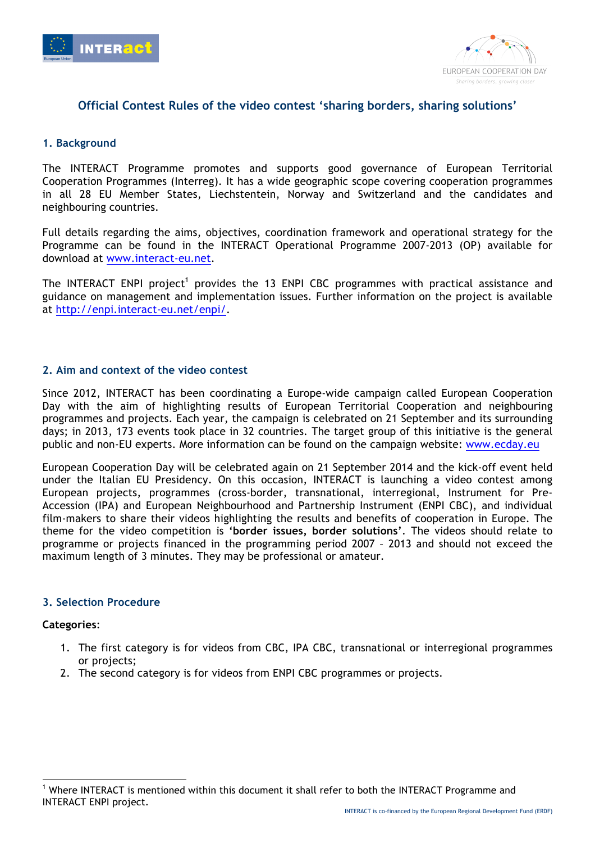



# **Official Contest Rules of the video contest 'sharing borders, sharing solutions'**

# **1. Background**

The INTERACT Programme promotes and supports good governance of European Territorial Cooperation Programmes (Interreg). It has a wide geographic scope covering cooperation programmes in all 28 EU Member States, Liechstentein, Norway and Switzerland and the candidates and neighbouring countries.

Full details regarding the aims, objectives, coordination framework and operational strategy for the Programme can be found in the INTERACT Operational Programme 2007-2013 (OP) available for download at www.interact-eu.net.

The INTERACT ENPI project<sup>1</sup> provides the 13 ENPI CBC programmes with practical assistance and guidance on management and implementation issues. Further information on the project is available at http://enpi.interact-eu.net/enpi/.

#### **2. Aim and context of the video contest**

Since 2012, INTERACT has been coordinating a Europe-wide campaign called European Cooperation Day with the aim of highlighting results of European Territorial Cooperation and neighbouring programmes and projects. Each year, the campaign is celebrated on 21 September and its surrounding days; in 2013, 173 events took place in 32 countries. The target group of this initiative is the general public and non-EU experts. More information can be found on the campaign website: www.ecday.eu

European Cooperation Day will be celebrated again on 21 September 2014 and the kick-off event held under the Italian EU Presidency. On this occasion, INTERACT is launching a video contest among European projects, programmes (cross-border, transnational, interregional, Instrument for Pre-Accession (IPA) and European Neighbourhood and Partnership Instrument (ENPI CBC), and individual film-makers to share their videos highlighting the results and benefits of cooperation in Europe. The theme for the video competition is **'border issues, border solutions'**. The videos should relate to programme or projects financed in the programming period 2007 – 2013 and should not exceed the maximum length of 3 minutes. They may be professional or amateur.

#### **3. Selection Procedure**

#### **Categories**:

- 1. The first category is for videos from CBC, IPA CBC, transnational or interregional programmes or projects;
- 2. The second category is for videos from ENPI CBC programmes or projects.

l <sup>1</sup> Where INTERACT is mentioned within this document it shall refer to both the INTERACT Programme and INTERACT ENPI project.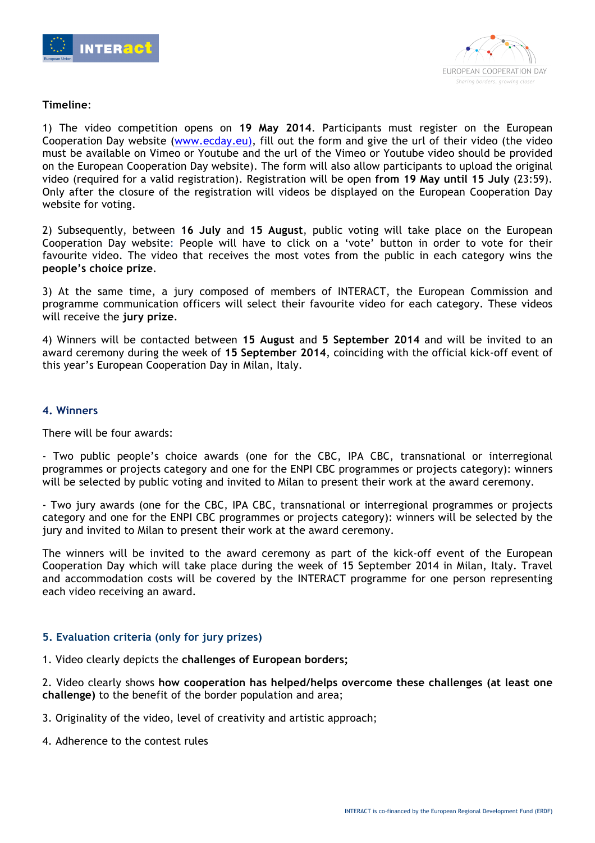



#### **Timeline**:

1) The video competition opens on **19 May 2014**. Participants must register on the European Cooperation Day website (www.ecday.eu), fill out the form and give the url of their video (the video must be available on Vimeo or Youtube and the url of the Vimeo or Youtube video should be provided on the European Cooperation Day website). The form will also allow participants to upload the original video (required for a valid registration). Registration will be open **from 19 May until 15 July** (23:59). Only after the closure of the registration will videos be displayed on the European Cooperation Day website for voting.

2) Subsequently, between **16 July** and **15 August**, public voting will take place on the European Cooperation Day website: People will have to click on a 'vote' button in order to vote for their favourite video. The video that receives the most votes from the public in each category wins the **people's choice prize**.

3) At the same time, a jury composed of members of INTERACT, the European Commission and programme communication officers will select their favourite video for each category. These videos will receive the **jury prize**.

4) Winners will be contacted between **15 August** and **5 September 2014** and will be invited to an award ceremony during the week of **15 September 2014**, coinciding with the official kick-off event of this year's European Cooperation Day in Milan, Italy.

# **4. Winners**

There will be four awards:

- Two public people's choice awards (one for the CBC, IPA CBC, transnational or interregional programmes or projects category and one for the ENPI CBC programmes or projects category): winners will be selected by public voting and invited to Milan to present their work at the award ceremony.

- Two jury awards (one for the CBC, IPA CBC, transnational or interregional programmes or projects category and one for the ENPI CBC programmes or projects category): winners will be selected by the jury and invited to Milan to present their work at the award ceremony.

The winners will be invited to the award ceremony as part of the kick-off event of the European Cooperation Day which will take place during the week of 15 September 2014 in Milan, Italy. Travel and accommodation costs will be covered by the INTERACT programme for one person representing each video receiving an award.

# **5. Evaluation criteria (only for jury prizes)**

1. Video clearly depicts the **challenges of European borders;**

2. Video clearly shows **how cooperation has helped/helps overcome these challenges (at least one challenge)** to the benefit of the border population and area;

- 3. Originality of the video, level of creativity and artistic approach;
- 4. Adherence to the contest rules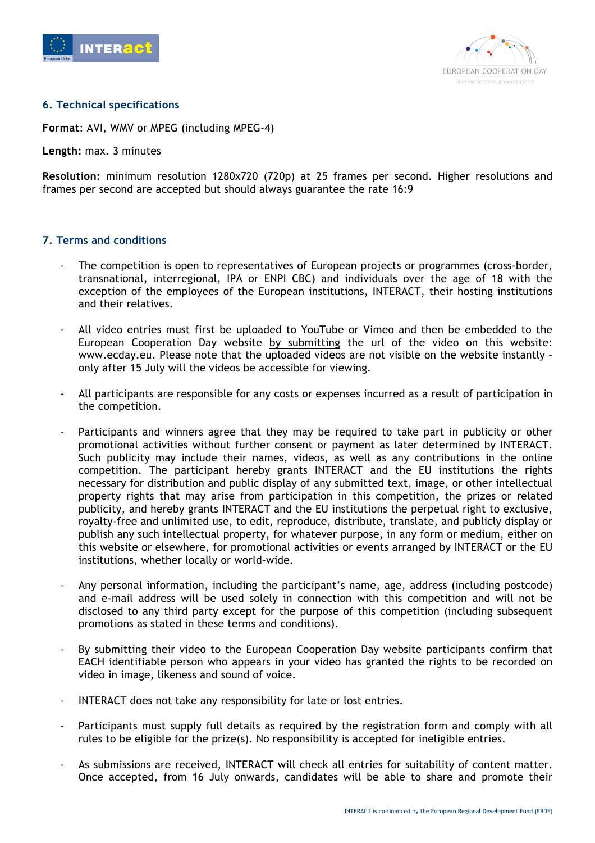



# **6. Technical specifications**

**Format**: AVI, WMV or MPEG (including MPEG-4)

**Length:** max. 3 minutes

**Resolution:** minimum resolution 1280x720 (720p) at 25 frames per second. Higher resolutions and frames per second are accepted but should always guarantee the rate 16:9

# **7. Terms and conditions**

- The competition is open to representatives of European projects or programmes (cross-border, transnational, interregional, IPA or ENPI CBC) and individuals over the age of 18 with the exception of the employees of the European institutions, INTERACT, their hosting institutions and their relatives.
- All video entries must first be uploaded to YouTube or Vimeo and then be embedded to the European Cooperation Day website by submitting the url of the video on this website: www.ecday.eu. Please note that the uploaded videos are not visible on the website instantly – only after 15 July will the videos be accessible for viewing.
- All participants are responsible for any costs or expenses incurred as a result of participation in the competition.
- Participants and winners agree that they may be required to take part in publicity or other promotional activities without further consent or payment as later determined by INTERACT. Such publicity may include their names, videos, as well as any contributions in the online competition. The participant hereby grants INTERACT and the EU institutions the rights necessary for distribution and public display of any submitted text, image, or other intellectual property rights that may arise from participation in this competition, the prizes or related publicity, and hereby grants INTERACT and the EU institutions the perpetual right to exclusive, royalty-free and unlimited use, to edit, reproduce, distribute, translate, and publicly display or publish any such intellectual property, for whatever purpose, in any form or medium, either on this website or elsewhere, for promotional activities or events arranged by INTERACT or the EU institutions, whether locally or world-wide.
- Any personal information, including the participant's name, age, address (including postcode) and e-mail address will be used solely in connection with this competition and will not be disclosed to any third party except for the purpose of this competition (including subsequent promotions as stated in these terms and conditions).
- By submitting their video to the European Cooperation Day website participants confirm that EACH identifiable person who appears in your video has granted the rights to be recorded on video in image, likeness and sound of voice.
- INTERACT does not take any responsibility for late or lost entries.
- Participants must supply full details as required by the registration form and comply with all rules to be eligible for the prize(s). No responsibility is accepted for ineligible entries.
- As submissions are received, INTERACT will check all entries for suitability of content matter. Once accepted, from 16 July onwards, candidates will be able to share and promote their